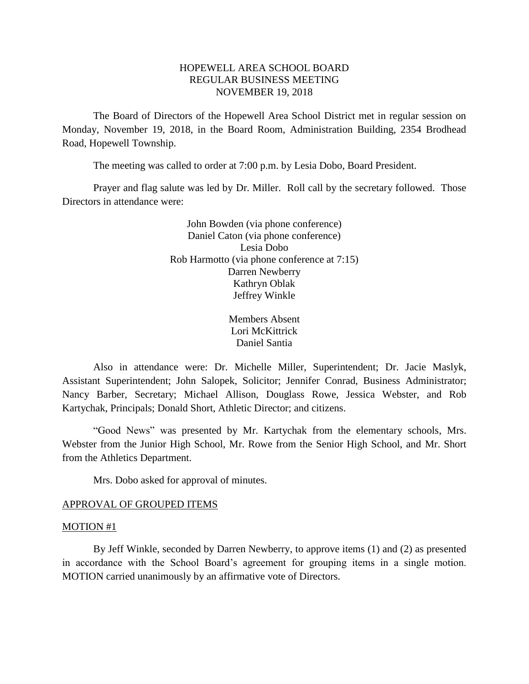# HOPEWELL AREA SCHOOL BOARD REGULAR BUSINESS MEETING NOVEMBER 19, 2018

The Board of Directors of the Hopewell Area School District met in regular session on Monday, November 19, 2018, in the Board Room, Administration Building, 2354 Brodhead Road, Hopewell Township.

The meeting was called to order at 7:00 p.m. by Lesia Dobo, Board President.

Prayer and flag salute was led by Dr. Miller. Roll call by the secretary followed. Those Directors in attendance were:

> John Bowden (via phone conference) Daniel Caton (via phone conference) Lesia Dobo Rob Harmotto (via phone conference at 7:15) Darren Newberry Kathryn Oblak Jeffrey Winkle

> > Members Absent Lori McKittrick Daniel Santia

Also in attendance were: Dr. Michelle Miller, Superintendent; Dr. Jacie Maslyk, Assistant Superintendent; John Salopek, Solicitor; Jennifer Conrad, Business Administrator; Nancy Barber, Secretary; Michael Allison, Douglass Rowe, Jessica Webster, and Rob Kartychak, Principals; Donald Short, Athletic Director; and citizens.

"Good News" was presented by Mr. Kartychak from the elementary schools, Mrs. Webster from the Junior High School, Mr. Rowe from the Senior High School, and Mr. Short from the Athletics Department.

Mrs. Dobo asked for approval of minutes.

### APPROVAL OF GROUPED ITEMS

#### MOTION #1

By Jeff Winkle, seconded by Darren Newberry, to approve items (1) and (2) as presented in accordance with the School Board's agreement for grouping items in a single motion. MOTION carried unanimously by an affirmative vote of Directors.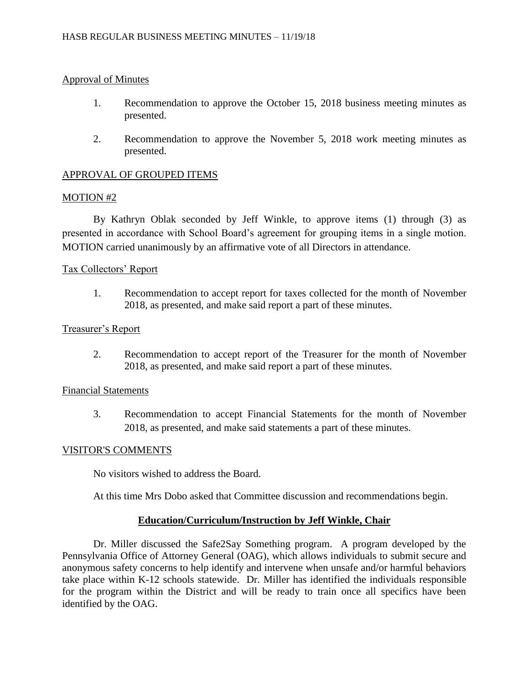# Approval of Minutes

- 1. Recommendation to approve the October 15, 2018 business meeting minutes as presented.
- 2. Recommendation to approve the November 5, 2018 work meeting minutes as presented.

# APPROVAL OF GROUPED ITEMS

## MOTION #2

By Kathryn Oblak seconded by Jeff Winkle, to approve items (1) through (3) as presented in accordance with School Board's agreement for grouping items in a single motion. MOTION carried unanimously by an affirmative vote of all Directors in attendance.

## Tax Collectors' Report

1. Recommendation to accept report for taxes collected for the month of November 2018, as presented, and make said report a part of these minutes.

## Treasurer's Report

2. Recommendation to accept report of the Treasurer for the month of November 2018, as presented, and make said report a part of these minutes.

## Financial Statements

3. Recommendation to accept Financial Statements for the month of November 2018, as presented, and make said statements a part of these minutes.

### VISITOR'S COMMENTS

No visitors wished to address the Board.

At this time Mrs Dobo asked that Committee discussion and recommendations begin.

### **Education/Curriculum/Instruction by Jeff Winkle, Chair**

Dr. Miller discussed the Safe2Say Something program. A program developed by the Pennsylvania Office of Attorney General (OAG), which allows individuals to submit secure and anonymous safety concerns to help identify and intervene when unsafe and/or harmful behaviors take place within K-12 schools statewide. Dr. Miller has identified the individuals responsible for the program within the District and will be ready to train once all specifics have been identified by the OAG.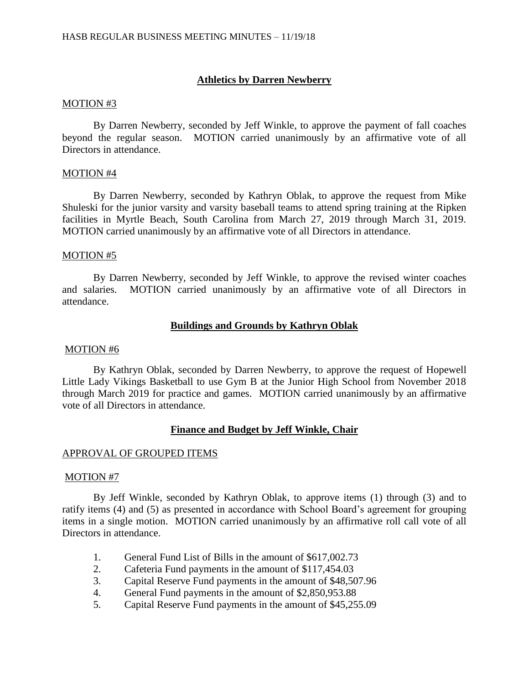# **Athletics by Darren Newberry**

#### MOTION #3

By Darren Newberry, seconded by Jeff Winkle, to approve the payment of fall coaches beyond the regular season. MOTION carried unanimously by an affirmative vote of all Directors in attendance.

### MOTION #4

By Darren Newberry, seconded by Kathryn Oblak, to approve the request from Mike Shuleski for the junior varsity and varsity baseball teams to attend spring training at the Ripken facilities in Myrtle Beach, South Carolina from March 27, 2019 through March 31, 2019. MOTION carried unanimously by an affirmative vote of all Directors in attendance.

#### MOTION #5

By Darren Newberry, seconded by Jeff Winkle, to approve the revised winter coaches and salaries. MOTION carried unanimously by an affirmative vote of all Directors in attendance.

# **Buildings and Grounds by Kathryn Oblak**

#### MOTION #6

By Kathryn Oblak, seconded by Darren Newberry, to approve the request of Hopewell Little Lady Vikings Basketball to use Gym B at the Junior High School from November 2018 through March 2019 for practice and games. MOTION carried unanimously by an affirmative vote of all Directors in attendance.

### **Finance and Budget by Jeff Winkle, Chair**

### APPROVAL OF GROUPED ITEMS

#### MOTION #7

By Jeff Winkle, seconded by Kathryn Oblak, to approve items (1) through (3) and to ratify items (4) and (5) as presented in accordance with School Board's agreement for grouping items in a single motion. MOTION carried unanimously by an affirmative roll call vote of all Directors in attendance.

- 1. General Fund List of Bills in the amount of \$617,002.73
- 2. Cafeteria Fund payments in the amount of \$117,454.03
- 3. Capital Reserve Fund payments in the amount of \$48,507.96
- 4. General Fund payments in the amount of \$2,850,953.88
- 5. Capital Reserve Fund payments in the amount of \$45,255.09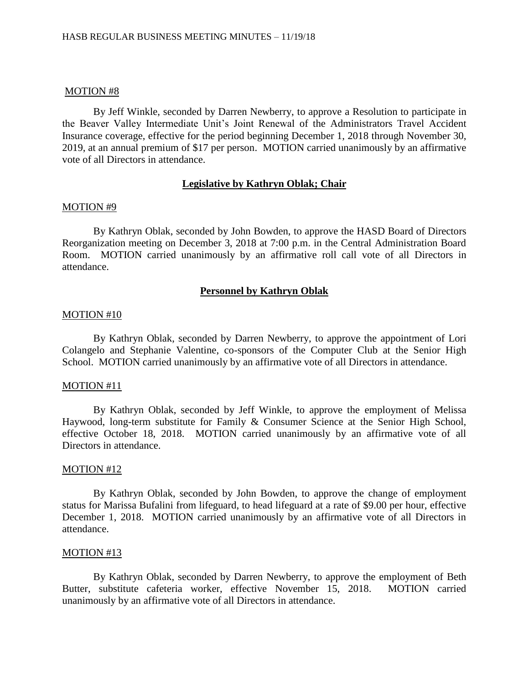#### MOTION #8

By Jeff Winkle, seconded by Darren Newberry, to approve a Resolution to participate in the Beaver Valley Intermediate Unit's Joint Renewal of the Administrators Travel Accident Insurance coverage, effective for the period beginning December 1, 2018 through November 30, 2019, at an annual premium of \$17 per person. MOTION carried unanimously by an affirmative vote of all Directors in attendance.

### **Legislative by Kathryn Oblak; Chair**

#### MOTION #9

By Kathryn Oblak, seconded by John Bowden, to approve the HASD Board of Directors Reorganization meeting on December 3, 2018 at 7:00 p.m. in the Central Administration Board Room. MOTION carried unanimously by an affirmative roll call vote of all Directors in attendance.

# **Personnel by Kathryn Oblak**

#### MOTION #10

By Kathryn Oblak, seconded by Darren Newberry, to approve the appointment of Lori Colangelo and Stephanie Valentine, co-sponsors of the Computer Club at the Senior High School. MOTION carried unanimously by an affirmative vote of all Directors in attendance.

#### MOTION #11

By Kathryn Oblak, seconded by Jeff Winkle, to approve the employment of Melissa Haywood, long-term substitute for Family & Consumer Science at the Senior High School, effective October 18, 2018. MOTION carried unanimously by an affirmative vote of all Directors in attendance.

#### MOTION #12

By Kathryn Oblak, seconded by John Bowden, to approve the change of employment status for Marissa Bufalini from lifeguard, to head lifeguard at a rate of \$9.00 per hour, effective December 1, 2018. MOTION carried unanimously by an affirmative vote of all Directors in attendance.

#### MOTION #13

By Kathryn Oblak, seconded by Darren Newberry, to approve the employment of Beth Butter, substitute cafeteria worker, effective November 15, 2018. MOTION carried unanimously by an affirmative vote of all Directors in attendance.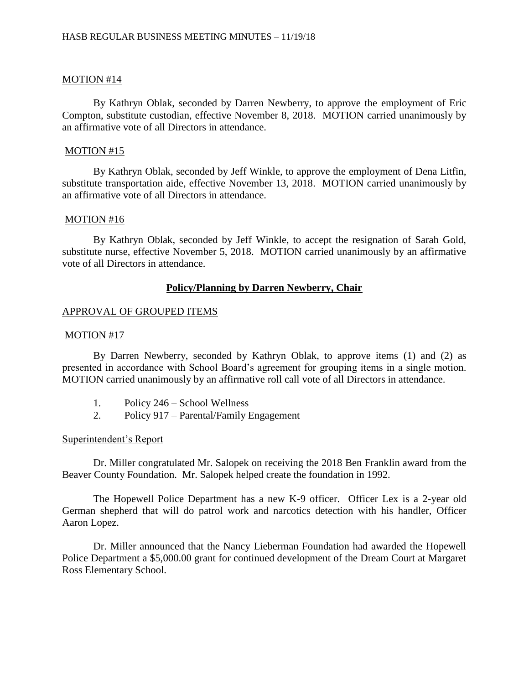## MOTION #14

By Kathryn Oblak, seconded by Darren Newberry, to approve the employment of Eric Compton, substitute custodian, effective November 8, 2018. MOTION carried unanimously by an affirmative vote of all Directors in attendance.

### MOTION #15

By Kathryn Oblak, seconded by Jeff Winkle, to approve the employment of Dena Litfin, substitute transportation aide, effective November 13, 2018. MOTION carried unanimously by an affirmative vote of all Directors in attendance.

### MOTION #16

By Kathryn Oblak, seconded by Jeff Winkle, to accept the resignation of Sarah Gold, substitute nurse, effective November 5, 2018. MOTION carried unanimously by an affirmative vote of all Directors in attendance.

# **Policy/Planning by Darren Newberry, Chair**

### APPROVAL OF GROUPED ITEMS

### MOTION #17

By Darren Newberry, seconded by Kathryn Oblak, to approve items (1) and (2) as presented in accordance with School Board's agreement for grouping items in a single motion. MOTION carried unanimously by an affirmative roll call vote of all Directors in attendance.

- 1. Policy 246 School Wellness
- 2. Policy 917 Parental/Family Engagement

### Superintendent's Report

Dr. Miller congratulated Mr. Salopek on receiving the 2018 Ben Franklin award from the Beaver County Foundation. Mr. Salopek helped create the foundation in 1992.

The Hopewell Police Department has a new K-9 officer. Officer Lex is a 2-year old German shepherd that will do patrol work and narcotics detection with his handler, Officer Aaron Lopez.

Dr. Miller announced that the Nancy Lieberman Foundation had awarded the Hopewell Police Department a \$5,000.00 grant for continued development of the Dream Court at Margaret Ross Elementary School.